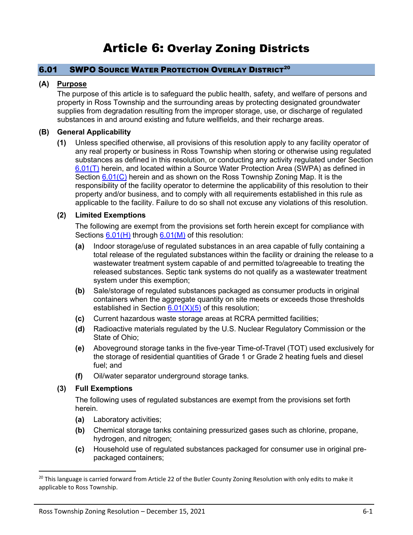# <span id="page-0-2"></span>6.01 SWPO SOURCE WATER PROTECTION OVERLAY DISTRICT<sup>20</sup>

# **(A) Purpose**

The purpose of this article is to safeguard the public health, safety, and welfare of persons and property in Ross Township and the surrounding areas by protecting designated groundwater supplies from degradation resulting from the improper storage, use, or discharge of regulated substances in and around existing and future wellfields, and their recharge areas.

## **(B) General Applicability**

**(1)** Unless specified otherwise, all provisions of this resolution apply to any facility operator of any real property or business in Ross Township when storing or otherwise using regulated substances as defined in this resolution, or conducting any activity regulated under Section [6.01\(T\)](#page-16-0) herein, and located within a Source Water Protection Area (SWPA) as defined in Section [6.01\(C\)](#page-1-0) herein and as shown on the Ross Township Zoning Map. It is the responsibility of the facility operator to determine the applicability of this resolution to their property and/or business, and to comply with all requirements established in this rule as applicable to the facility. Failure to do so shall not excuse any violations of this resolution.

## <span id="page-0-0"></span>**(2) Limited Exemptions**

The following are exempt from the provisions set forth herein except for compliance with Sections [6.01\(H\)](#page-5-0) through [6.01\(M\)](#page-9-0) of this resolution:

- **(a)** Indoor storage/use of regulated substances in an area capable of fully containing a total release of the regulated substances within the facility or draining the release to a wastewater treatment system capable of and permitted to/agreeable to treating the released substances. Septic tank systems do not qualify as a wastewater treatment system under this exemption;
- **(b)** Sale/storage of regulated substances packaged as consumer products in original containers when the aggregate quantity on site meets or exceeds those thresholds established in Section  $6.01(X)(5)$  of this resolution;
- **(c)** Current hazardous waste storage areas at RCRA permitted facilities;
- **(d)** Radioactive materials regulated by the U.S. Nuclear Regulatory Commission or the State of Ohio;
- **(e)** Aboveground storage tanks in the five-year Time-of-Travel (TOT) used exclusively for the storage of residential quantities of Grade 1 or Grade 2 heating fuels and diesel fuel; and
- **(f)** Oil/water separator underground storage tanks.

# <span id="page-0-1"></span>**(3) Full Exemptions**

The following uses of regulated substances are exempt from the provisions set forth herein.

- **(a)** Laboratory activities;
- **(b)** Chemical storage tanks containing pressurized gases such as chlorine, propane, hydrogen, and nitrogen;
- **(c)** Household use of regulated substances packaged for consumer use in original prepackaged containers;

<sup>&</sup>lt;sup>20</sup> This language is carried forward from Article 22 of the Butler County Zoning Resolution with only edits to make it applicable to Ross Township.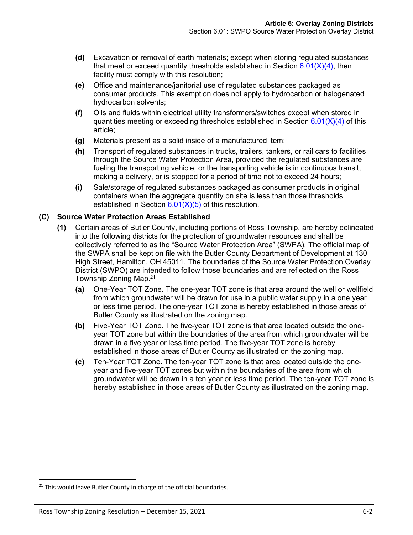- **(d)** Excavation or removal of earth materials; except when storing regulated substances that meet or exceed quantity thresholds established in Section  $6.01(X)(4)$ , then facility must comply with this resolution;
- **(e)** Office and maintenance/janitorial use of regulated substances packaged as consumer products. This exemption does not apply to hydrocarbon or halogenated hydrocarbon solvents;
- **(f)** Oils and fluids within electrical utility transformers/switches except when stored in quantities meeting or exceeding thresholds established in Section  $6.01(X)(4)$  of this article;
- **(g)** Materials present as a solid inside of a manufactured item;
- **(h)** Transport of regulated substances in trucks, trailers, tankers, or rail cars to facilities through the Source Water Protection Area, provided the regulated substances are fueling the transporting vehicle, or the transporting vehicle is in continuous transit, making a delivery, or is stopped for a period of time not to exceed 24 hours;
- **(i)** Sale/storage of regulated substances packaged as consumer products in original containers when the aggregate quantity on site is less than those thresholds established in Section  $6.01(X)(5)$  of this resolution.

## <span id="page-1-0"></span>**(C) Source Water Protection Areas Established**

- **(1)** Certain areas of Butler County, including portions of Ross Township, are hereby delineated into the following districts for the protection of groundwater resources and shall be collectively referred to as the "Source Water Protection Area" (SWPA). The official map of the SWPA shall be kept on file with the Butler County Department of Development at 130 High Street, Hamilton, OH 45011. The boundaries of the Source Water Protection Overlay District (SWPO) are intended to follow those boundaries and are reflected on the Ross Township Zoning Map.<sup>21</sup>
	- **(a)** One-Year TOT Zone. The one-year TOT zone is that area around the well or wellfield from which groundwater will be drawn for use in a public water supply in a one year or less time period. The one-year TOT zone is hereby established in those areas of Butler County as illustrated on the zoning map.
	- **(b)** Five-Year TOT Zone. The five-year TOT zone is that area located outside the oneyear TOT zone but within the boundaries of the area from which groundwater will be drawn in a five year or less time period. The five-year TOT zone is hereby established in those areas of Butler County as illustrated on the zoning map.
	- **(c)** Ten-Year TOT Zone. The ten-year TOT zone is that area located outside the oneyear and five-year TOT zones but within the boundaries of the area from which groundwater will be drawn in a ten year or less time period. The ten-year TOT zone is hereby established in those areas of Butler County as illustrated on the zoning map.

<sup>&</sup>lt;sup>21</sup> This would leave Butler County in charge of the official boundaries.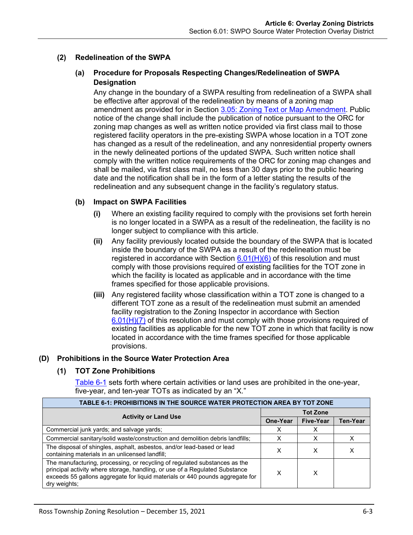## <span id="page-2-1"></span>**(2) Redelineation of the SWPA**

## **(a) Procedure for Proposals Respecting Changes/Redelineation of SWPA Designation**

Any change in the boundary of a SWPA resulting from redelineation of a SWPA shall be effective after approval of the redelineation by means of a zoning map amendment as provided for in Section 3.05: Zoning Text or Map Amendment. Public notice of the change shall include the publication of notice pursuant to the ORC for zoning map changes as well as written notice provided via first class mail to those registered facility operators in the pre-existing SWPA whose location in a TOT zone has changed as a result of the redelineation, and any nonresidential property owners in the newly delineated portions of the updated SWPA. Such written notice shall comply with the written notice requirements of the ORC for zoning map changes and shall be mailed, via first class mail, no less than 30 days prior to the public hearing date and the notification shall be in the form of a letter stating the results of the redelineation and any subsequent change in the facility's regulatory status.

## **(b) Impact on SWPA Facilities**

- **(i)** Where an existing facility required to comply with the provisions set forth herein is no longer located in a SWPA as a result of the redelineation, the facility is no longer subject to compliance with this article.
- **(ii)** Any facility previously located outside the boundary of the SWPA that is located inside the boundary of the SWPA as a result of the redelineation must be registered in accordance with Section  $6.01(H)(6)$  of this resolution and must comply with those provisions required of existing facilities for the TOT zone in which the facility is located as applicable and in accordance with the time frames specified for those applicable provisions.
- **(iii)** Any registered facility whose classification within a TOT zone is changed to a different TOT zone as a result of the redelineation must submit an amended facility registration to the Zoning Inspector in accordance with Section  $6.01(H)(7)$  of this resolution and must comply with those provisions required of existing facilities as applicable for the new TOT zone in which that facility is now located in accordance with the time frames specified for those applicable provisions.

## **(D) Prohibitions in the Source Water Protection Area**

## **(1) TOT Zone Prohibitions**

<span id="page-2-0"></span>[Table 6-1](#page-2-0) sets forth where certain activities or land uses are prohibited in the one-year, five-year, and ten-year TOTs as indicated by an "X."

| TABLE 6-1: PROHIBITIONS IN THE SOURCE WATER PROTECTION AREA BY TOT ZONE                                                                                                                                                                                    |                 |                  |                 |  |  |
|------------------------------------------------------------------------------------------------------------------------------------------------------------------------------------------------------------------------------------------------------------|-----------------|------------------|-----------------|--|--|
| <b>Activity or Land Use</b>                                                                                                                                                                                                                                | <b>Tot Zone</b> |                  |                 |  |  |
|                                                                                                                                                                                                                                                            | One-Year        | <b>Five-Year</b> | <b>Ten-Year</b> |  |  |
| Commercial junk yards; and salvage yards;                                                                                                                                                                                                                  | x               | х                |                 |  |  |
| Commercial sanitary/solid waste/construction and demolition debris landfills;                                                                                                                                                                              | X               | х                | х               |  |  |
| The disposal of shingles, asphalt, asbestos, and/or lead-based or lead<br>containing materials in an unlicensed landfill;                                                                                                                                  | x               | X                | х               |  |  |
| The manufacturing, processing, or recycling of regulated substances as the<br>principal activity where storage, handling, or use of a Regulated Substance<br>exceeds 55 gallons aggregate for liquid materials or 440 pounds aggregate for<br>dry weights; |                 | x                |                 |  |  |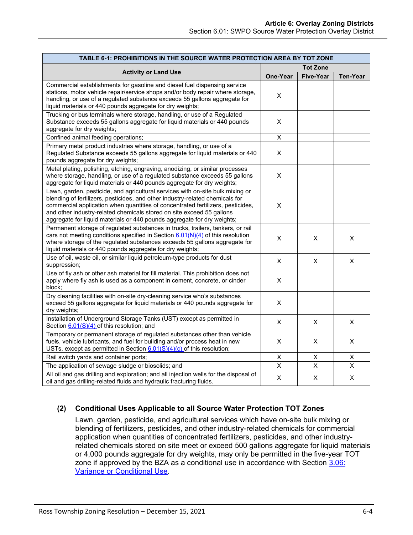| TABLE 6-1: PROHIBITIONS IN THE SOURCE WATER PROTECTION AREA BY TOT ZONE                                                                                                                                                                                                                                                                                                                                |                 |                  |                 |  |  |
|--------------------------------------------------------------------------------------------------------------------------------------------------------------------------------------------------------------------------------------------------------------------------------------------------------------------------------------------------------------------------------------------------------|-----------------|------------------|-----------------|--|--|
|                                                                                                                                                                                                                                                                                                                                                                                                        | <b>Tot Zone</b> |                  |                 |  |  |
| <b>Activity or Land Use</b>                                                                                                                                                                                                                                                                                                                                                                            | <b>One-Year</b> | <b>Five-Year</b> | <b>Ten-Year</b> |  |  |
| Commercial establishments for gasoline and diesel fuel dispensing service<br>stations, motor vehicle repair/service shops and/or body repair where storage,<br>handling, or use of a regulated substance exceeds 55 gallons aggregate for<br>liquid materials or 440 pounds aggregate for dry weights;                                                                                                 | $\pmb{\times}$  |                  |                 |  |  |
| Trucking or bus terminals where storage, handling, or use of a Regulated<br>Substance exceeds 55 gallons aggregate for liquid materials or 440 pounds<br>aggregate for dry weights;                                                                                                                                                                                                                    | X               |                  |                 |  |  |
| Confined animal feeding operations;                                                                                                                                                                                                                                                                                                                                                                    | X               |                  |                 |  |  |
| Primary metal product industries where storage, handling, or use of a<br>Regulated Substance exceeds 55 gallons aggregate for liquid materials or 440<br>pounds aggregate for dry weights;                                                                                                                                                                                                             | X               |                  |                 |  |  |
| Metal plating, polishing, etching, engraving, anodizing, or similar processes<br>where storage, handling, or use of a regulated substance exceeds 55 gallons<br>aggregate for liquid materials or 440 pounds aggregate for dry weights;                                                                                                                                                                | $\pmb{\times}$  |                  |                 |  |  |
| Lawn, garden, pesticide, and agricultural services with on-site bulk mixing or<br>blending of fertilizers, pesticides, and other industry-related chemicals for<br>commercial application when quantities of concentrated fertilizers, pesticides,<br>and other industry-related chemicals stored on site exceed 55 gallons<br>aggregate for liquid materials or 440 pounds aggregate for dry weights; | X               |                  |                 |  |  |
| Permanent storage of regulated substances in trucks, trailers, tankers, or rail<br>cars not meeting conditions specified in Section $6.01(N)(4)$ of this resolution<br>where storage of the regulated substances exceeds 55 gallons aggregate for<br>liquid materials or 440 pounds aggregate for dry weights;                                                                                         | X               | X                | X               |  |  |
| Use of oil, waste oil, or similar liquid petroleum-type products for dust<br>suppression;                                                                                                                                                                                                                                                                                                              | X               | X                | X               |  |  |
| Use of fly ash or other ash material for fill material. This prohibition does not<br>apply where fly ash is used as a component in cement, concrete, or cinder<br>block;                                                                                                                                                                                                                               | $\pmb{\times}$  |                  |                 |  |  |
| Dry cleaning facilities with on-site dry-cleaning service who's substances<br>exceed 55 gallons aggregate for liquid materials or 440 pounds aggregate for<br>dry weights;                                                                                                                                                                                                                             | X               |                  |                 |  |  |
| Installation of Underground Storage Tanks (UST) except as permitted in<br>Section 6.01(S)(4) of this resolution; and                                                                                                                                                                                                                                                                                   | X               | X                | X               |  |  |
| Temporary or permanent storage of regulated substances other than vehicle<br>fuels, vehicle lubricants, and fuel for building and/or process heat in new<br>USTs, except as permitted in Section $6.01(S)(4)(c)$ of this resolution;                                                                                                                                                                   | X               | X                | X               |  |  |
| Rail switch yards and container ports;                                                                                                                                                                                                                                                                                                                                                                 | $\pmb{\times}$  | х                | х               |  |  |
| The application of sewage sludge or biosolids; and                                                                                                                                                                                                                                                                                                                                                     | $\pmb{\times}$  | X                | X               |  |  |
| All oil and gas drilling and exploration; and all injection wells for the disposal of<br>oil and gas drilling-related fluids and hydraulic fracturing fluids.                                                                                                                                                                                                                                          | $\pmb{\times}$  | X                | X               |  |  |

# **(2) Conditional Uses Applicable to all Source Water Protection TOT Zones**

Lawn, garden, pesticide, and agricultural services which have on-site bulk mixing or blending of fertilizers, pesticides, and other industry-related chemicals for commercial application when quantities of concentrated fertilizers, pesticides, and other industryrelated chemicals stored on site meet or exceed 500 gallons aggregate for liquid materials or 4,000 pounds aggregate for dry weights, may only be permitted in the five-year TOT zone if approved by the BZA as a conditional use in accordance with Section 3.06: Variance or Conditional Use.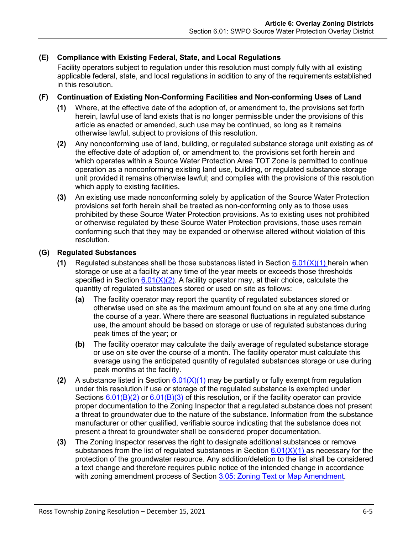# **(E) Compliance with Existing Federal, State, and Local Regulations**

Facility operators subject to regulation under this resolution must comply fully with all existing applicable federal, state, and local regulations in addition to any of the requirements established in this resolution.

## **(F) Continuation of Existing Non-Conforming Facilities and Non-conforming Uses of Land**

- **(1)** Where, at the effective date of the adoption of, or amendment to, the provisions set forth herein, lawful use of land exists that is no longer permissible under the provisions of this article as enacted or amended, such use may be continued, so long as it remains otherwise lawful, subject to provisions of this resolution.
- **(2)** Any nonconforming use of land, building, or regulated substance storage unit existing as of the effective date of adoption of, or amendment to, the provisions set forth herein and which operates within a Source Water Protection Area TOT Zone is permitted to continue operation as a nonconforming existing land use, building, or regulated substance storage unit provided it remains otherwise lawful; and complies with the provisions of this resolution which apply to existing facilities.
- **(3)** An existing use made nonconforming solely by application of the Source Water Protection provisions set forth herein shall be treated as non-conforming only as to those uses prohibited by these Source Water Protection provisions. As to existing uses not prohibited or otherwise regulated by these Source Water Protection provisions, those uses remain conforming such that they may be expanded or otherwise altered without violation of this resolution.

## **(G) Regulated Substances**

- **(1)** Regulated substances shall be those substances listed in Section [6.01\(X\)\(1\)](#page-21-0) herein when storage or use at a facility at any time of the year meets or exceeds those thresholds specified in Section  $6.01(X)(2)$ . A facility operator may, at their choice, calculate the quantity of regulated substances stored or used on site as follows:
	- **(a)** The facility operator may report the quantity of regulated substances stored or otherwise used on site as the maximum amount found on site at any one time during the course of a year. Where there are seasonal fluctuations in regulated substance use, the amount should be based on storage or use of regulated substances during peak times of the year; or
	- **(b)** The facility operator may calculate the daily average of regulated substance storage or use on site over the course of a month. The facility operator must calculate this average using the anticipated quantity of regulated substances storage or use during peak months at the facility.
- **(2)** A substance listed in Section [6.01\(X\)\(1\)](#page-21-0) may be partially or fully exempt from regulation under this resolution if use or storage of the regulated substance is exempted under Sections  $6.01(B)(2)$  or  $6.01(B)(3)$  of this resolution, or if the facility operator can provide proper documentation to the Zoning Inspector that a regulated substance does not present a threat to groundwater due to the nature of the substance. Information from the substance manufacturer or other qualified, verifiable source indicating that the substance does not present a threat to groundwater shall be considered proper documentation.
- **(3)** The Zoning Inspector reserves the right to designate additional substances or remove substances from the list of regulated substances in Section  $6.01(X)(1)$  as necessary for the protection of the groundwater resource. Any addition/deletion to the list shall be considered a text change and therefore requires public notice of the intended change in accordance with zoning amendment process of Section 3.05: Zoning Text or Map Amendment.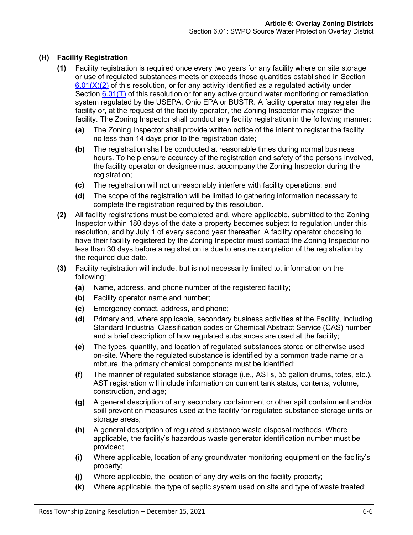# <span id="page-5-1"></span><span id="page-5-0"></span>**(H) Facility Registration**

- <span id="page-5-3"></span>**(1)** Facility registration is required once every two years for any facility where on site storage or use of regulated substances meets or exceeds those quantities established in Section  $6.01(X)(2)$  of this resolution, or for any activity identified as a regulated activity under Section [6.01\(T\)](#page-16-0) of this resolution or for any active ground water monitoring or remediation system regulated by the USEPA, Ohio EPA or BUSTR. A facility operator may register the facility or, at the request of the facility operator, the Zoning Inspector may register the facility. The Zoning Inspector shall conduct any facility registration in the following manner:
	- **(a)** The Zoning Inspector shall provide written notice of the intent to register the facility no less than 14 days prior to the registration date;
	- **(b)** The registration shall be conducted at reasonable times during normal business hours. To help ensure accuracy of the registration and safety of the persons involved, the facility operator or designee must accompany the Zoning Inspector during the registration;
	- **(c)** The registration will not unreasonably interfere with facility operations; and
	- **(d)** The scope of the registration will be limited to gathering information necessary to complete the registration required by this resolution.
- <span id="page-5-4"></span><span id="page-5-2"></span>**(2)** All facility registrations must be completed and, where applicable, submitted to the Zoning Inspector within 180 days of the date a property becomes subject to regulation under this resolution, and by July 1 of every second year thereafter. A facility operator choosing to have their facility registered by the Zoning Inspector must contact the Zoning Inspector no less than 30 days before a registration is due to ensure completion of the registration by the required due date.
- **(3)** Facility registration will include, but is not necessarily limited to, information on the following:
	- **(a)** Name, address, and phone number of the registered facility;
	- **(b)** Facility operator name and number;
	- **(c)** Emergency contact, address, and phone;
	- **(d)** Primary and, where applicable, secondary business activities at the Facility, including Standard Industrial Classification codes or Chemical Abstract Service (CAS) number and a brief description of how regulated substances are used at the facility;
	- **(e)** The types, quantity, and location of regulated substances stored or otherwise used on-site. Where the regulated substance is identified by a common trade name or a mixture, the primary chemical components must be identified;
	- **(f)** The manner of regulated substance storage (i.e., ASTs, 55 gallon drums, totes, etc.). AST registration will include information on current tank status, contents, volume, construction, and age;
	- **(g)** A general description of any secondary containment or other spill containment and/or spill prevention measures used at the facility for regulated substance storage units or storage areas;
	- **(h)** A general description of regulated substance waste disposal methods. Where applicable, the facility's hazardous waste generator identification number must be provided;
	- **(i)** Where applicable, location of any groundwater monitoring equipment on the facility's property;
	- **(j)** Where applicable, the location of any dry wells on the facility property;
	- **(k)** Where applicable, the type of septic system used on site and type of waste treated;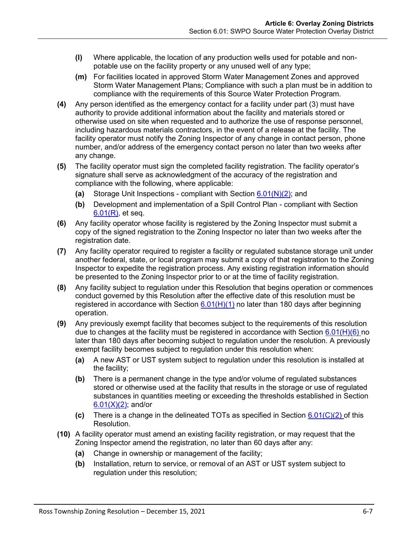- **(l)** Where applicable, the location of any production wells used for potable and nonpotable use on the facility property or any unused well of any type;
- **(m)** For facilities located in approved Storm Water Management Zones and approved Storm Water Management Plans; Compliance with such a plan must be in addition to compliance with the requirements of this Source Water Protection Program.
- **(4)** Any person identified as the emergency contact for a facility under part (3) must have authority to provide additional information about the facility and materials stored or otherwise used on site when requested and to authorize the use of response personnel, including hazardous materials contractors, in the event of a release at the facility. The facility operator must notify the Zoning Inspector of any change in contact person, phone number, and/or address of the emergency contact person no later than two weeks after any change.
- **(5)** The facility operator must sign the completed facility registration. The facility operator's signature shall serve as acknowledgment of the accuracy of the registration and compliance with the following, where applicable:
	- **(a)** Storage Unit Inspections compliant with Section [6.01\(N\)\(2\);](#page-10-1) and
	- **(b)** Development and implementation of a Spill Control Plan compliant with Section [6.01\(R\),](#page-13-0) et seq.
- <span id="page-6-0"></span>**(6)** Any facility operator whose facility is registered by the Zoning Inspector must submit a copy of the signed registration to the Zoning Inspector no later than two weeks after the registration date.
- <span id="page-6-1"></span>**(7)** Any facility operator required to register a facility or regulated substance storage unit under another federal, state, or local program may submit a copy of that registration to the Zoning Inspector to expedite the registration process. Any existing registration information should be presented to the Zoning Inspector prior to or at the time of facility registration.
- **(8)** Any facility subject to regulation under this Resolution that begins operation or commences conduct governed by this Resolution after the effective date of this resolution must be registered in accordance with Section  $6.01(H)(1)$  no later than 180 days after beginning operation.
- **(9)** Any previously exempt facility that becomes subject to the requirements of this resolution due to changes at the facility must be registered in accordance with Section [6.01\(H\)\(6\)](#page-6-0) no later than 180 days after becoming subject to regulation under the resolution. A previously exempt facility becomes subject to regulation under this resolution when:
	- **(a)** A new AST or UST system subject to regulation under this resolution is installed at the facility;
	- **(b)** There is a permanent change in the type and/or volume of regulated substances stored or otherwise used at the facility that results in the storage or use of regulated substances in quantities meeting or exceeding the thresholds established in Section  $6.01(X)(2)$ ; and/or
	- **(c)** There is a change in the delineated TOTs as specified in Section [6.01\(C\)\(2\)](#page-2-1) of this Resolution.
- **(10)** A facility operator must amend an existing facility registration, or may request that the Zoning Inspector amend the registration, no later than 60 days after any:
	- **(a)** Change in ownership or management of the facility;
	- **(b)** Installation, return to service, or removal of an AST or UST system subject to regulation under this resolution;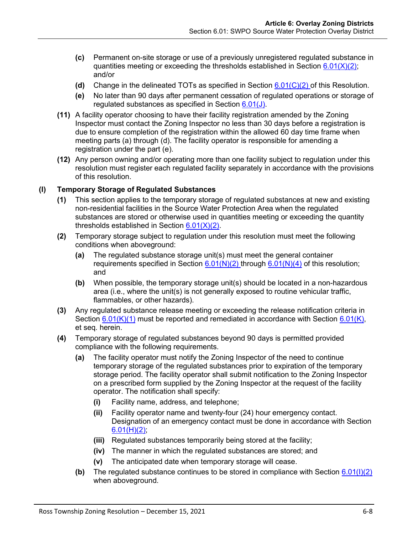- **(c)** Permanent on-site storage or use of a previously unregistered regulated substance in quantities meeting or exceeding the thresholds established in Section  $6.01(X)(2)$ ; and/or
- **(d)** Change in the delineated TOTs as specified in Section [6.01\(C\)\(2\)](#page-2-1) of this Resolution.
- **(e)** No later than 90 days after permanent cessation of regulated operations or storage of regulated substances as specified in Section [6.01\(J\).](#page-8-0)
- **(11)** A facility operator choosing to have their facility registration amended by the Zoning Inspector must contact the Zoning Inspector no less than 30 days before a registration is due to ensure completion of the registration within the allowed 60 day time frame when meeting parts (a) through (d). The facility operator is responsible for amending a registration under the part (e).
- **(12)** Any person owning and/or operating more than one facility subject to regulation under this resolution must register each regulated facility separately in accordance with the provisions of this resolution.

## <span id="page-7-2"></span>**(I) Temporary Storage of Regulated Substances**

- **(1)** This section applies to the temporary storage of regulated substances at new and existing non-residential facilities in the Source Water Protection Area when the regulated substances are stored or otherwise used in quantities meeting or exceeding the quantity thresholds established in Section [6.01\(X\)\(2\).](#page-21-1)
- <span id="page-7-0"></span>**(2)** Temporary storage subject to regulation under this resolution must meet the following conditions when aboveground:
	- **(a)** The regulated substance storage unit(s) must meet the general container requirements specified in Section  $6.01(N)(2)$  through  $6.01(N)(4)$  of this resolution; and
	- **(b)** When possible, the temporary storage unit(s) should be located in a non-hazardous area (i.e., where the unit(s) is not generally exposed to routine vehicular traffic, flammables, or other hazards).
- <span id="page-7-1"></span>**(3)** Any regulated substance release meeting or exceeding the release notification criteria in Section  $6.01(K)(1)$  must be reported and remediated in accordance with Section  $6.01(K)$ , et seq. herein.
- **(4)** Temporary storage of regulated substances beyond 90 days is permitted provided compliance with the following requirements.
	- **(a)** The facility operator must notify the Zoning Inspector of the need to continue temporary storage of the regulated substances prior to expiration of the temporary storage period. The facility operator shall submit notification to the Zoning Inspector on a prescribed form supplied by the Zoning Inspector at the request of the facility operator. The notification shall specify:
		- **(i)** Facility name, address, and telephone;
		- **(ii)** Facility operator name and twenty-four (24) hour emergency contact. Designation of an emergency contact must be done in accordance with Section  $6.01(H)(2)$
		- **(iii)** Regulated substances temporarily being stored at the facility;
		- **(iv)** The manner in which the regulated substances are stored; and
		- **(v)** The anticipated date when temporary storage will cease.
	- **(b)** The regulated substance continues to be stored in compliance with Section [6.01\(I\)\(2\)](#page-7-0) when aboveground.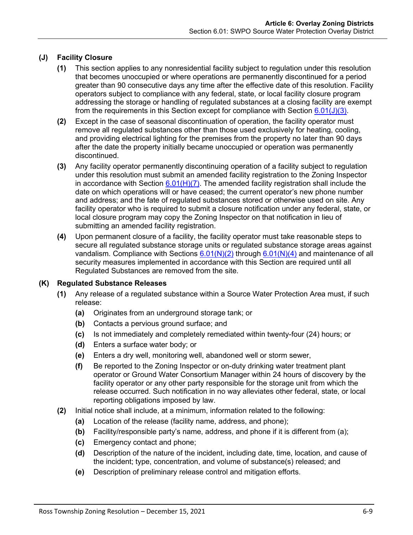# <span id="page-8-0"></span>**(J) Facility Closure**

- **(1)** This section applies to any nonresidential facility subject to regulation under this resolution that becomes unoccupied or where operations are permanently discontinued for a period greater than 90 consecutive days any time after the effective date of this resolution. Facility operators subject to compliance with any federal, state, or local facility closure program addressing the storage or handling of regulated substances at a closing facility are exempt from the requirements in this Section except for compliance with Section  $6.01(J)(3)$ .
- **(2)** Except in the case of seasonal discontinuation of operation, the facility operator must remove all regulated substances other than those used exclusively for heating, cooling, and providing electrical lighting for the premises from the property no later than 90 days after the date the property initially became unoccupied or operation was permanently discontinued.
- <span id="page-8-3"></span>**(3)** Any facility operator permanently discontinuing operation of a facility subject to regulation under this resolution must submit an amended facility registration to the Zoning Inspector in accordance with Section  $6.01(H)(7)$ . The amended facility registration shall include the date on which operations will or have ceased; the current operator's new phone number and address; and the fate of regulated substances stored or otherwise used on site. Any facility operator who is required to submit a closure notification under any federal, state, or local closure program may copy the Zoning Inspector on that notification in lieu of submitting an amended facility registration.
- **(4)** Upon permanent closure of a facility, the facility operator must take reasonable steps to secure all regulated substance storage units or regulated substance storage areas against vandalism. Compliance with Sections  $6.01(N)(2)$  through  $6.01(N)(4)$  and maintenance of all security measures implemented in accordance with this Section are required until all Regulated Substances are removed from the site.

## <span id="page-8-2"></span><span id="page-8-1"></span>**(K) Regulated Substance Releases**

- **(1)** Any release of a regulated substance within a Source Water Protection Area must, if such release:
	- **(a)** Originates from an underground storage tank; or
	- **(b)** Contacts a pervious ground surface; and
	- **(c)** Is not immediately and completely remediated within twenty-four (24) hours; or
	- **(d)** Enters a surface water body; or
	- **(e)** Enters a dry well, monitoring well, abandoned well or storm sewer,
	- **(f)** Be reported to the Zoning Inspector or on-duty drinking water treatment plant operator or Ground Water Consortium Manager within 24 hours of discovery by the facility operator or any other party responsible for the storage unit from which the release occurred. Such notification in no way alleviates other federal, state, or local reporting obligations imposed by law.
- **(2)** Initial notice shall include, at a minimum, information related to the following:
	- **(a)** Location of the release (facility name, address, and phone);
	- **(b)** Facility/responsible party's name, address, and phone if it is different from (a);
	- **(c)** Emergency contact and phone;
	- **(d)** Description of the nature of the incident, including date, time, location, and cause of the incident; type, concentration, and volume of substance(s) released; and
	- **(e)** Description of preliminary release control and mitigation efforts.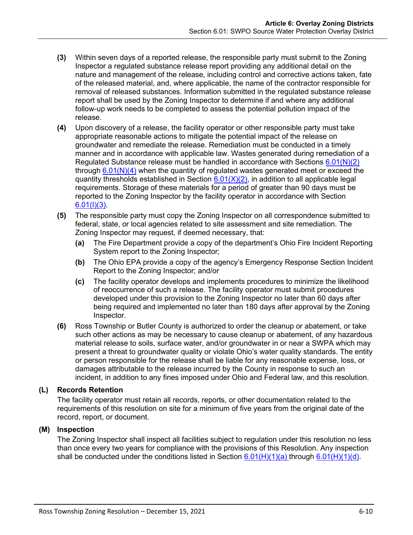- **(3)** Within seven days of a reported release, the responsible party must submit to the Zoning Inspector a regulated substance release report providing any additional detail on the nature and management of the release, including control and corrective actions taken, fate of the released material, and, where applicable, the name of the contractor responsible for removal of released substances. Information submitted in the regulated substance release report shall be used by the Zoning Inspector to determine if and where any additional follow-up work needs to be completed to assess the potential pollution impact of the release.
- **(4)** Upon discovery of a release, the facility operator or other responsible party must take appropriate reasonable actions to mitigate the potential impact of the release on groundwater and remediate the release. Remediation must be conducted in a timely manner and in accordance with applicable law. Wastes generated during remediation of a Regulated Substance release must be handled in accordance with Sections  $6.01(N)(2)$ through  $6.01(N)(4)$  when the quantity of regulated wastes generated meet or exceed the quantity thresholds established in Section  $6.01(X)(2)$ , in addition to all applicable legal requirements. Storage of these materials for a period of greater than 90 days must be reported to the Zoning Inspector by the facility operator in accordance with Section  $6.01(1)(3)$ .
- **(5)** The responsible party must copy the Zoning Inspector on all correspondence submitted to federal, state, or local agencies related to site assessment and site remediation. The Zoning Inspector may request, if deemed necessary, that:
	- **(a)** The Fire Department provide a copy of the department's Ohio Fire Incident Reporting System report to the Zoning Inspector;
	- **(b)** The Ohio EPA provide a copy of the agency's Emergency Response Section Incident Report to the Zoning Inspector; and/or
	- **(c)** The facility operator develops and implements procedures to minimize the likelihood of reoccurrence of such a release. The facility operator must submit procedures developed under this provision to the Zoning Inspector no later than 60 days after being required and implemented no later than 180 days after approval by the Zoning Inspector.
- **(6)** Ross Township or Butler County is authorized to order the cleanup or abatement, or take such other actions as may be necessary to cause cleanup or abatement, of any hazardous material release to soils, surface water, and/or groundwater in or near a SWPA which may present a threat to groundwater quality or violate Ohio's water quality standards. The entity or person responsible for the release shall be liable for any reasonable expense, loss, or damages attributable to the release incurred by the County in response to such an incident, in addition to any fines imposed under Ohio and Federal law, and this resolution.

# **(L) Records Retention**

The facility operator must retain all records, reports, or other documentation related to the requirements of this resolution on site for a minimum of five years from the original date of the record, report, or document.

# <span id="page-9-0"></span>**(M) Inspection**

The Zoning Inspector shall inspect all facilities subject to regulation under this resolution no less than once every two years for compliance with the provisions of this Resolution. Any inspection shall be conducted under the conditions listed in Section  $6.01(H)(1)(a)$  through  $6.01(H)(1)(d)$ .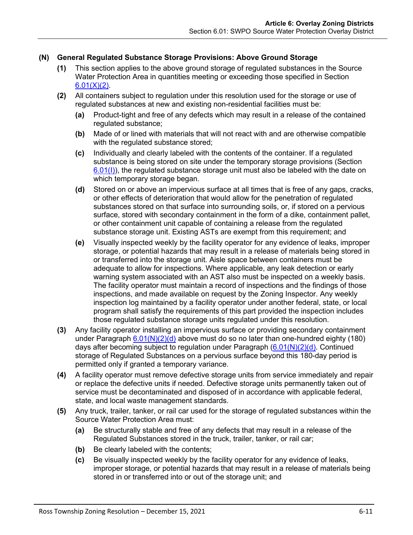# **(N) General Regulated Substance Storage Provisions: Above Ground Storage**

- **(1)** This section applies to the above ground storage of regulated substances in the Source Water Protection Area in quantities meeting or exceeding those specified in Section  $6.01(X)(2)$ .
- <span id="page-10-2"></span><span id="page-10-1"></span>**(2)** All containers subject to regulation under this resolution used for the storage or use of regulated substances at new and existing non-residential facilities must be:
	- **(a)** Product-tight and free of any defects which may result in a release of the contained regulated substance;
	- **(b)** Made of or lined with materials that will not react with and are otherwise compatible with the regulated substance stored;
	- **(c)** Individually and clearly labeled with the contents of the container. If a regulated substance is being stored on site under the temporary storage provisions (Section  $6.01(1)$ , the regulated substance storage unit must also be labeled with the date on which temporary storage began.
	- **(d)** Stored on or above an impervious surface at all times that is free of any gaps, cracks, or other effects of deterioration that would allow for the penetration of regulated substances stored on that surface into surrounding soils, or, if stored on a pervious surface, stored with secondary containment in the form of a dike, containment pallet, or other containment unit capable of containing a release from the regulated substance storage unit. Existing ASTs are exempt from this requirement; and
	- **(e)** Visually inspected weekly by the facility operator for any evidence of leaks, improper storage, or potential hazards that may result in a release of materials being stored in or transferred into the storage unit. Aisle space between containers must be adequate to allow for inspections. Where applicable, any leak detection or early warning system associated with an AST also must be inspected on a weekly basis. The facility operator must maintain a record of inspections and the findings of those inspections, and made available on request by the Zoning Inspector. Any weekly inspection log maintained by a facility operator under another federal, state, or local program shall satisfy the requirements of this part provided the inspection includes those regulated substance storage units regulated under this resolution.
- **(3)** Any facility operator installing an impervious surface or providing secondary containment under Paragraph  $6.01(N)(2)(d)$  above must do so no later than one-hundred eighty (180) days after becoming subject to regulation under Paragraph [\(6.01\(N\)\(2\)\(d\).](#page-10-2) Continued storage of Regulated Substances on a pervious surface beyond this 180-day period is permitted only if granted a temporary variance.
- <span id="page-10-0"></span>**(4)** A facility operator must remove defective storage units from service immediately and repair or replace the defective units if needed. Defective storage units permanently taken out of service must be decontaminated and disposed of in accordance with applicable federal, state, and local waste management standards.
- **(5)** Any truck, trailer, tanker, or rail car used for the storage of regulated substances within the Source Water Protection Area must:
	- **(a)** Be structurally stable and free of any defects that may result in a release of the Regulated Substances stored in the truck, trailer, tanker, or rail car;
	- **(b)** Be clearly labeled with the contents;
	- **(c)** Be visually inspected weekly by the facility operator for any evidence of leaks, improper storage, or potential hazards that may result in a release of materials being stored in or transferred into or out of the storage unit; and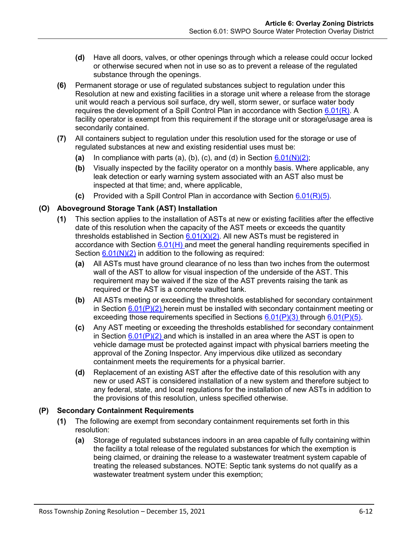- **(d)** Have all doors, valves, or other openings through which a release could occur locked or otherwise secured when not in use so as to prevent a release of the regulated substance through the openings.
- **(6)** Permanent storage or use of regulated substances subject to regulation under this Resolution at new and existing facilities in a storage unit where a release from the storage unit would reach a pervious soil surface, dry well, storm sewer, or surface water body requires the development of a Spill Control Plan in accordance with Section  $6.01(R)$ . A facility operator is exempt from this requirement if the storage unit or storage/usage area is secondarily contained.
- **(7)** All containers subject to regulation under this resolution used for the storage or use of regulated substances at new and existing residential uses must be:
	- (a) In compliance with parts (a), (b), (c), and (d) in Section  $6.01(N)(2)$ ;
	- **(b)** Visually inspected by the facility operator on a monthly basis. Where applicable, any leak detection or early warning system associated with an AST also must be inspected at that time; and, where applicable,
	- **(c)** Provided with a Spill Control Plan in accordance with Section [6.01\(R\)\(5\).](#page-14-0)

# **(O) Aboveground Storage Tank (AST) Installation**

- **(1)** This section applies to the installation of ASTs at new or existing facilities after the effective date of this resolution when the capacity of the AST meets or exceeds the quantity thresholds established in Section  $6.01(X)(2)$ . All new ASTs must be registered in accordance with Section  $6.01(H)$  and meet the general handling requirements specified in Section  $6.01(N)(2)$  in addition to the following as required:
	- **(a)** All ASTs must have ground clearance of no less than two inches from the outermost wall of the AST to allow for visual inspection of the underside of the AST. This requirement may be waived if the size of the AST prevents raising the tank as required or the AST is a concrete vaulted tank.
	- **(b)** All ASTs meeting or exceeding the thresholds established for secondary containment in Section  $6.01(P)(2)$  herein must be installed with secondary containment meeting or exceeding those requirements specified in Sections  $6.01(P)(3)$  through  $6.01(P)(5)$ .
	- **(c)** Any AST meeting or exceeding the thresholds established for secondary containment in Section  $6.01(P)(2)$  and which is installed in an area where the AST is open to vehicle damage must be protected against impact with physical barriers meeting the approval of the Zoning Inspector. Any impervious dike utilized as secondary containment meets the requirements for a physical barrier.
	- **(d)** Replacement of an existing AST after the effective date of this resolution with any new or used AST is considered installation of a new system and therefore subject to any federal, state, and local regulations for the installation of new ASTs in addition to the provisions of this resolution, unless specified otherwise.

# <span id="page-11-1"></span><span id="page-11-0"></span>**(P) Secondary Containment Requirements**

- **(1)** The following are exempt from secondary containment requirements set forth in this resolution:
	- **(a)** Storage of regulated substances indoors in an area capable of fully containing within the facility a total release of the regulated substances for which the exemption is being claimed, or draining the release to a wastewater treatment system capable of treating the released substances. NOTE: Septic tank systems do not qualify as a wastewater treatment system under this exemption;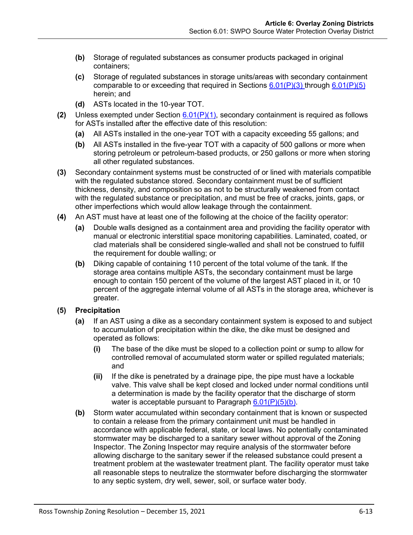- **(b)** Storage of regulated substances as consumer products packaged in original containers;
- **(c)** Storage of regulated substances in storage units/areas with secondary containment comparable to or exceeding that required in Sections  $6.01(P)(3)$  through  $6.01(P)(5)$ herein; and
- **(d)** ASTs located in the 10-year TOT.
- <span id="page-12-0"></span>**(2)** Unless exempted under Section [6.01\(P\)\(1\),](#page-11-0) secondary containment is required as follows for ASTs installed after the effective date of this resolution:
	- **(a)** All ASTs installed in the one-year TOT with a capacity exceeding 55 gallons; and
	- **(b)** All ASTs installed in the five-year TOT with a capacity of 500 gallons or more when storing petroleum or petroleum-based products, or 250 gallons or more when storing all other regulated substances.
- <span id="page-12-1"></span>**(3)** Secondary containment systems must be constructed of or lined with materials compatible with the regulated substance stored. Secondary containment must be of sufficient thickness, density, and composition so as not to be structurally weakened from contact with the regulated substance or precipitation, and must be free of cracks, joints, gaps, or other imperfections which would allow leakage through the containment.
- **(4)** An AST must have at least one of the following at the choice of the facility operator:
	- **(a)** Double walls designed as a containment area and providing the facility operator with manual or electronic interstitial space monitoring capabilities. Laminated, coated, or clad materials shall be considered single-walled and shall not be construed to fulfill the requirement for double walling; or
	- **(b)** Diking capable of containing 110 percent of the total volume of the tank. If the storage area contains multiple ASTs, the secondary containment must be large enough to contain 150 percent of the volume of the largest AST placed in it, or 10 percent of the aggregate internal volume of all ASTs in the storage area, whichever is greater.

# <span id="page-12-2"></span>**(5) Precipitation**

- **(a)** If an AST using a dike as a secondary containment system is exposed to and subject to accumulation of precipitation within the dike, the dike must be designed and operated as follows:
	- **(i)** The base of the dike must be sloped to a collection point or sump to allow for controlled removal of accumulated storm water or spilled regulated materials; and
	- **(ii)** If the dike is penetrated by a drainage pipe, the pipe must have a lockable valve. This valve shall be kept closed and locked under normal conditions until a determination is made by the facility operator that the discharge of storm water is acceptable pursuant to Paragraph  $6.01(P)(5)(b)$ .
- <span id="page-12-3"></span>**(b)** Storm water accumulated within secondary containment that is known or suspected to contain a release from the primary containment unit must be handled in accordance with applicable federal, state, or local laws. No potentially contaminated stormwater may be discharged to a sanitary sewer without approval of the Zoning Inspector. The Zoning Inspector may require analysis of the stormwater before allowing discharge to the sanitary sewer if the released substance could present a treatment problem at the wastewater treatment plant. The facility operator must take all reasonable steps to neutralize the stormwater before discharging the stormwater to any septic system, dry well, sewer, soil, or surface water body.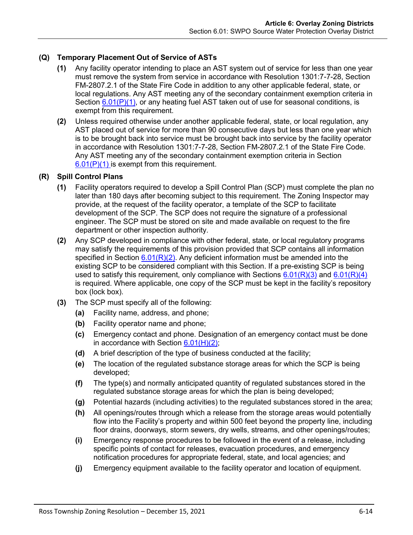# **(Q) Temporary Placement Out of Service of ASTs**

- **(1)** Any facility operator intending to place an AST system out of service for less than one year must remove the system from service in accordance with Resolution 1301:7-7-28, Section FM-2807.2.1 of the State Fire Code in addition to any other applicable federal, state, or local regulations. Any AST meeting any of the secondary containment exemption criteria in Section  $6.01(P)(1)$ , or any heating fuel AST taken out of use for seasonal conditions, is exempt from this requirement.
- **(2)** Unless required otherwise under another applicable federal, state, or local regulation, any AST placed out of service for more than 90 consecutive days but less than one year which is to be brought back into service must be brought back into service by the facility operator in accordance with Resolution 1301:7-7-28, Section FM-2807.2.1 of the State Fire Code. Any AST meeting any of the secondary containment exemption criteria in Section  $6.01(P)(1)$  is exempt from this requirement.

## <span id="page-13-0"></span>**(R) Spill Control Plans**

- **(1)** Facility operators required to develop a Spill Control Plan (SCP) must complete the plan no later than 180 days after becoming subject to this requirement. The Zoning Inspector may provide, at the request of the facility operator, a template of the SCP to facilitate development of the SCP. The SCP does not require the signature of a professional engineer. The SCP must be stored on site and made available on request to the fire department or other inspection authority.
- <span id="page-13-1"></span>**(2)** Any SCP developed in compliance with other federal, state, or local regulatory programs may satisfy the requirements of this provision provided that SCP contains all information specified in Section  $6.01(R)(2)$ . Any deficient information must be amended into the existing SCP to be considered compliant with this Section. If a pre-existing SCP is being used to satisfy this requirement, only compliance with Sections  $6.01(R)(3)$  and  $6.01(R)(4)$ is required. Where applicable, one copy of the SCP must be kept in the facility's repository box (lock box).
- <span id="page-13-2"></span>**(3)** The SCP must specify all of the following:
	- **(a)** Facility name, address, and phone;
	- **(b)** Facility operator name and phone;
	- **(c)** Emergency contact and phone. Designation of an emergency contact must be done in accordance with Section  $6.01(H)(2)$ ;
	- **(d)** A brief description of the type of business conducted at the facility;
	- **(e)** The location of the regulated substance storage areas for which the SCP is being developed;
	- **(f)** The type(s) and normally anticipated quantity of regulated substances stored in the regulated substance storage areas for which the plan is being developed;
	- **(g)** Potential hazards (including activities) to the regulated substances stored in the area;
	- **(h)** All openings/routes through which a release from the storage areas would potentially flow into the Facility's property and within 500 feet beyond the property line, including floor drains, doorways, storm sewers, dry wells, streams, and other openings/routes;
	- **(i)** Emergency response procedures to be followed in the event of a release, including specific points of contact for releases, evacuation procedures, and emergency notification procedures for appropriate federal, state, and local agencies; and
	- **(j)** Emergency equipment available to the facility operator and location of equipment.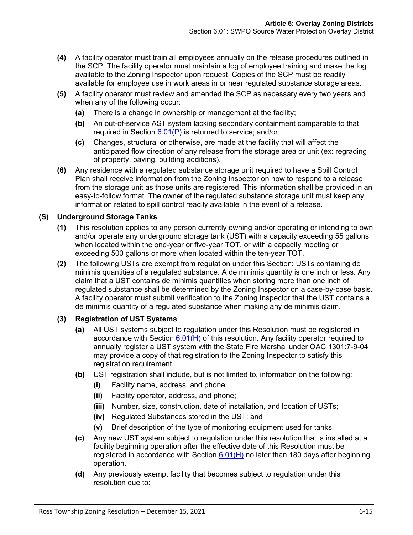- <span id="page-14-1"></span>**(4)** A facility operator must train all employees annually on the release procedures outlined in the SCP. The facility operator must maintain a log of employee training and make the log available to the Zoning Inspector upon request. Copies of the SCP must be readily available for employee use in work areas in or near regulated substance storage areas.
- <span id="page-14-0"></span>**(5)** A facility operator must review and amended the SCP as necessary every two years and when any of the following occur:
	- **(a)** There is a change in ownership or management at the facility;
	- **(b)** An out-of-service AST system lacking secondary containment comparable to that required in Section  $6.01(P)$  is returned to service; and/or
	- **(c)** Changes, structural or otherwise, are made at the facility that will affect the anticipated flow direction of any release from the storage area or unit (ex: regrading of property, paving, building additions).
- **(6)** Any residence with a regulated substance storage unit required to have a Spill Control Plan shall receive information from the Zoning Inspector on how to respond to a release from the storage unit as those units are registered. This information shall be provided in an easy-to-follow format. The owner of the regulated substance storage unit must keep any information related to spill control readily available in the event of a release.

# **(S) Underground Storage Tanks**

- **(1)** This resolution applies to any person currently owning and/or operating or intending to own and/or operate any underground storage tank (UST) with a capacity exceeding 55 gallons when located within the one-year or five-year TOT, or with a capacity meeting or exceeding 500 gallons or more when located within the ten-year TOT.
- **(2)** The following USTs are exempt from regulation under this Section: USTs containing de minimis quantities of a regulated substance. A de minimis quantity is one inch or less. Any claim that a UST contains de minimis quantities when storing more than one inch of regulated substance shall be determined by the Zoning Inspector on a case-by-case basis. A facility operator must submit verification to the Zoning Inspector that the UST contains a de minimis quantity of a regulated substance when making any de minimis claim.

# **(3) Registration of UST Systems**

- **(a)** All UST systems subject to regulation under this Resolution must be registered in accordance with Section  $6.01(H)$  of this resolution. Any facility operator required to annually register a UST system with the State Fire Marshal under OAC 1301:7-9-04 may provide a copy of that registration to the Zoning Inspector to satisfy this registration requirement.
- **(b)** UST registration shall include, but is not limited to, information on the following:
	- **(i)** Facility name, address, and phone;
	- **(ii)** Facility operator, address, and phone;
	- **(iii)** Number, size, construction, date of installation, and location of USTs;
	- **(iv)** Regulated Substances stored in the UST; and
	- **(v)** Brief description of the type of monitoring equipment used for tanks.
- **(c)** Any new UST system subject to regulation under this resolution that is installed at a facility beginning operation after the effective date of this Resolution must be registered in accordance with Section  $6.01(H)$  no later than 180 days after beginning operation.
- **(d)** Any previously exempt facility that becomes subject to regulation under this resolution due to: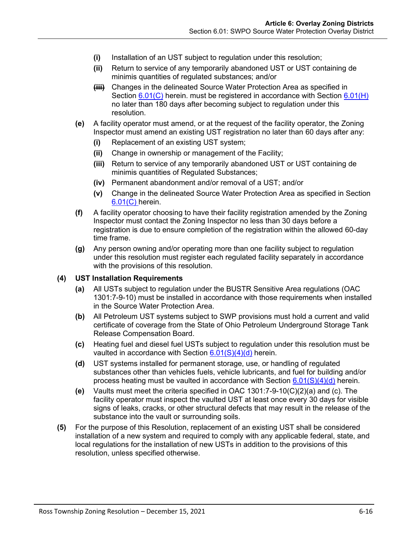- **(i)** Installation of an UST subject to regulation under this resolution;
- **(ii)** Return to service of any temporarily abandoned UST or UST containing de minimis quantities of regulated substances; and/or
- **(iii)** Changes in the delineated Source Water Protection Area as specified in Section [6.01\(C\)](#page-1-0) herein. must be registered in accordance with Section [6.01\(H\)](#page-5-0) no later than 180 days after becoming subject to regulation under this resolution.
- **(e)** A facility operator must amend, or at the request of the facility operator, the Zoning Inspector must amend an existing UST registration no later than 60 days after any:
	- **(i)** Replacement of an existing UST system;
	- **(ii)** Change in ownership or management of the Facility;
	- **(iii)** Return to service of any temporarily abandoned UST or UST containing de minimis quantities of Regulated Substances;
	- **(iv)** Permanent abandonment and/or removal of a UST; and/or
	- **(v)** Change in the delineated Source Water Protection Area as specified in Section [6.01\(C\)](#page-1-0) herein.
- **(f)** A facility operator choosing to have their facility registration amended by the Zoning Inspector must contact the Zoning Inspector no less than 30 days before a registration is due to ensure completion of the registration within the allowed 60-day time frame.
- **(g)** Any person owning and/or operating more than one facility subject to regulation under this resolution must register each regulated facility separately in accordance with the provisions of this resolution.

#### <span id="page-15-0"></span>**(4) UST Installation Requirements**

- **(a)** All USTs subject to regulation under the BUSTR Sensitive Area regulations (OAC 1301:7-9-10) must be installed in accordance with those requirements when installed in the Source Water Protection Area.
- **(b)** All Petroleum UST systems subject to SWP provisions must hold a current and valid certificate of coverage from the State of Ohio Petroleum Underground Storage Tank Release Compensation Board.
- <span id="page-15-1"></span>**(c)** Heating fuel and diesel fuel USTs subject to regulation under this resolution must be vaulted in accordance with Section  $6.01(S)(4)(d)$  herein.
- <span id="page-15-2"></span>**(d)** UST systems installed for permanent storage, use, or handling of regulated substances other than vehicles fuels, vehicle lubricants, and fuel for building and/or process heating must be vaulted in accordance with Section  $6.01(S)(4)(d)$  herein.
- **(e)** Vaults must meet the criteria specified in OAC 1301:7-9-10(C)(2)(a) and (c). The facility operator must inspect the vaulted UST at least once every 30 days for visible signs of leaks, cracks, or other structural defects that may result in the release of the substance into the vault or surrounding soils.
- **(5)** For the purpose of this Resolution, replacement of an existing UST shall be considered installation of a new system and required to comply with any applicable federal, state, and local regulations for the installation of new USTs in addition to the provisions of this resolution, unless specified otherwise.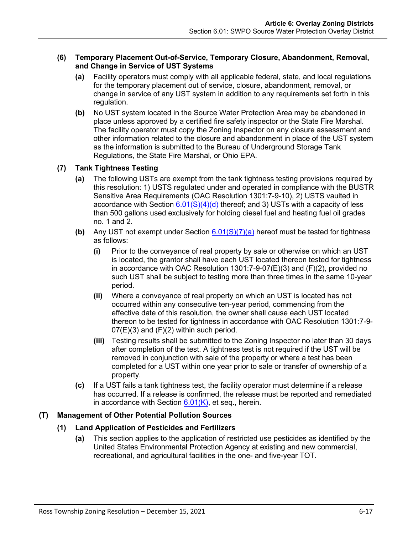## **(6) Temporary Placement Out-of-Service, Temporary Closure, Abandonment, Removal, and Change in Service of UST Systems**

- **(a)** Facility operators must comply with all applicable federal, state, and local regulations for the temporary placement out of service, closure, abandonment, removal, or change in service of any UST system in addition to any requirements set forth in this regulation.
- **(b)** No UST system located in the Source Water Protection Area may be abandoned in place unless approved by a certified fire safety inspector or the State Fire Marshal. The facility operator must copy the Zoning Inspector on any closure assessment and other information related to the closure and abandonment in place of the UST system as the information is submitted to the Bureau of Underground Storage Tank Regulations, the State Fire Marshal, or Ohio EPA.

# <span id="page-16-1"></span>**(7) Tank Tightness Testing**

- **(a)** The following USTs are exempt from the tank tightness testing provisions required by this resolution: 1) USTS regulated under and operated in compliance with the BUSTR Sensitive Area Requirements (OAC Resolution 1301:7-9-10), 2) USTS vaulted in accordance with Section  $6.01(S)(4)(d)$  thereof; and 3) USTs with a capacity of less than 500 gallons used exclusively for holding diesel fuel and heating fuel oil grades no. 1 and 2.
- **(b)** Any UST not exempt under Section [6.01\(S\)\(7\)\(a\)](#page-16-1) hereof must be tested for tightness as follows:
	- **(i)** Prior to the conveyance of real property by sale or otherwise on which an UST is located, the grantor shall have each UST located thereon tested for tightness in accordance with OAC Resolution 1301:7-9-07(E)(3) and (F)(2), provided no such UST shall be subject to testing more than three times in the same 10-year period.
	- **(ii)** Where a conveyance of real property on which an UST is located has not occurred within any consecutive ten-year period, commencing from the effective date of this resolution, the owner shall cause each UST located thereon to be tested for tightness in accordance with OAC Resolution 1301:7-9-  $07(E)(3)$  and  $(F)(2)$  within such period.
	- **(iii)** Testing results shall be submitted to the Zoning Inspector no later than 30 days after completion of the test. A tightness test is not required if the UST will be removed in conjunction with sale of the property or where a test has been completed for a UST within one year prior to sale or transfer of ownership of a property.
- **(c)** If a UST fails a tank tightness test, the facility operator must determine if a release has occurred. If a release is confirmed, the release must be reported and remediated in accordance with Section  $6.01(K)$ , et seq., herein.

# <span id="page-16-0"></span>**(T) Management of Other Potential Pollution Sources**

# **(1) Land Application of Pesticides and Fertilizers**

**(a)** This section applies to the application of restricted use pesticides as identified by the United States Environmental Protection Agency at existing and new commercial, recreational, and agricultural facilities in the one- and five-year TOT.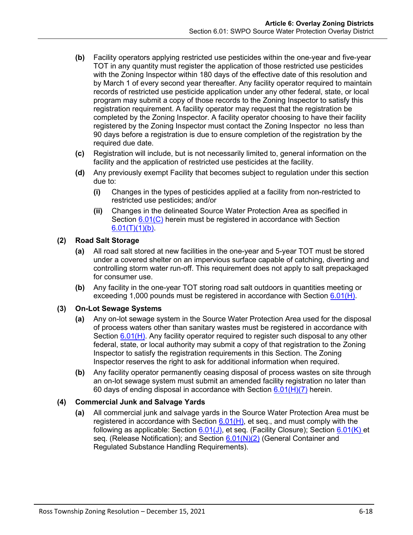- <span id="page-17-0"></span>**(b)** Facility operators applying restricted use pesticides within the one-year and five-year TOT in any quantity must register the application of those restricted use pesticides with the Zoning Inspector within 180 days of the effective date of this resolution and by March 1 of every second year thereafter. Any facility operator required to maintain records of restricted use pesticide application under any other federal, state, or local program may submit a copy of those records to the Zoning Inspector to satisfy this registration requirement. A facility operator may request that the registration be completed by the Zoning Inspector. A facility operator choosing to have their facility registered by the Zoning Inspector must contact the Zoning Inspector no less than 90 days before a registration is due to ensure completion of the registration by the required due date.
- **(c)** Registration will include, but is not necessarily limited to, general information on the facility and the application of restricted use pesticides at the facility.
- **(d)** Any previously exempt Facility that becomes subject to regulation under this section due to:
	- **(i)** Changes in the types of pesticides applied at a facility from non-restricted to restricted use pesticides; and/or
	- **(ii)** Changes in the delineated Source Water Protection Area as specified in Section [6.01\(C\)](#page-1-0) herein must be registered in accordance with Section  $6.01(T)(1)(b)$ .

## **(2) Road Salt Storage**

- **(a)** All road salt stored at new facilities in the one-year and 5-year TOT must be stored under a covered shelter on an impervious surface capable of catching, diverting and controlling storm water run-off. This requirement does not apply to salt prepackaged for consumer use.
- **(b)** Any facility in the one-year TOT storing road salt outdoors in quantities meeting or exceeding 1,000 pounds must be registered in accordance with Section [6.01\(H\).](#page-5-0)

## **(3) On-Lot Sewage Systems**

- **(a)** Any on-lot sewage system in the Source Water Protection Area used for the disposal of process waters other than sanitary wastes must be registered in accordance with Section [6.01\(H\).](#page-5-0) Any facility operator required to register such disposal to any other federal, state, or local authority may submit a copy of that registration to the Zoning Inspector to satisfy the registration requirements in this Section. The Zoning Inspector reserves the right to ask for additional information when required.
- **(b)** Any facility operator permanently ceasing disposal of process wastes on site through an on-lot sewage system must submit an amended facility registration no later than 60 days of ending disposal in accordance with Section  $6.01(H)(7)$  herein.

## **(4) Commercial Junk and Salvage Yards**

**(a)** All commercial junk and salvage yards in the Source Water Protection Area must be registered in accordance with Section  $6.01(H)$ , et seq., and must comply with the following as applicable: Section  $6.01(J)$ , et seq. (Facility Closure); Section  $6.01(K)$  et seq. (Release Notification); and Section [6.01\(N\)\(2\)](#page-10-1) (General Container and Regulated Substance Handling Requirements).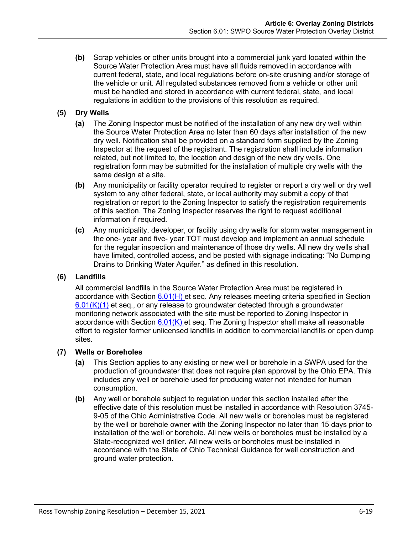**(b)** Scrap vehicles or other units brought into a commercial junk yard located within the Source Water Protection Area must have all fluids removed in accordance with current federal, state, and local regulations before on-site crushing and/or storage of the vehicle or unit. All regulated substances removed from a vehicle or other unit must be handled and stored in accordance with current federal, state, and local regulations in addition to the provisions of this resolution as required.

# **(5) Dry Wells**

- **(a)** The Zoning Inspector must be notified of the installation of any new dry well within the Source Water Protection Area no later than 60 days after installation of the new dry well. Notification shall be provided on a standard form supplied by the Zoning Inspector at the request of the registrant. The registration shall include information related, but not limited to, the location and design of the new dry wells. One registration form may be submitted for the installation of multiple dry wells with the same design at a site.
- **(b)** Any municipality or facility operator required to register or report a dry well or dry well system to any other federal, state, or local authority may submit a copy of that registration or report to the Zoning Inspector to satisfy the registration requirements of this section. The Zoning Inspector reserves the right to request additional information if required.
- **(c)** Any municipality, developer, or facility using dry wells for storm water management in the one- year and five- year TOT must develop and implement an annual schedule for the regular inspection and maintenance of those dry wells. All new dry wells shall have limited, controlled access, and be posted with signage indicating: "No Dumping Drains to Drinking Water Aquifer." as defined in this resolution.

# **(6) Landfills**

All commercial landfills in the Source Water Protection Area must be registered in accordance with Section [6.01\(H\)](#page-5-0) et seq. Any releases meeting criteria specified in Section [6.01\(K\)\(1\)](#page-8-1) et seq., or any release to groundwater detected through a groundwater monitoring network associated with the site must be reported to Zoning Inspector in accordance with Section  $6.01(K)$  et seq. The Zoning Inspector shall make all reasonable effort to register former unlicensed landfills in addition to commercial landfills or open dump sites.

# **(7) Wells or Boreholes**

- **(a)** This Section applies to any existing or new well or borehole in a SWPA used for the production of groundwater that does not require plan approval by the Ohio EPA. This includes any well or borehole used for producing water not intended for human consumption.
- **(b)** Any well or borehole subject to regulation under this section installed after the effective date of this resolution must be installed in accordance with Resolution 3745- 9-05 of the Ohio Administrative Code. All new wells or boreholes must be registered by the well or borehole owner with the Zoning Inspector no later than 15 days prior to installation of the well or borehole. All new wells or boreholes must be installed by a State-recognized well driller. All new wells or boreholes must be installed in accordance with the State of Ohio Technical Guidance for well construction and ground water protection.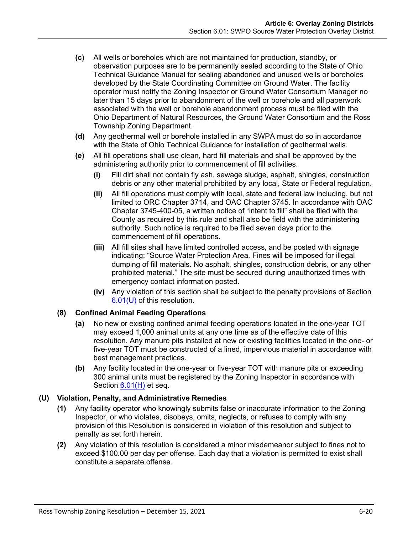- **(c)** All wells or boreholes which are not maintained for production, standby, or observation purposes are to be permanently sealed according to the State of Ohio Technical Guidance Manual for sealing abandoned and unused wells or boreholes developed by the State Coordinating Committee on Ground Water. The facility operator must notify the Zoning Inspector or Ground Water Consortium Manager no later than 15 days prior to abandonment of the well or borehole and all paperwork associated with the well or borehole abandonment process must be filed with the Ohio Department of Natural Resources, the Ground Water Consortium and the Ross Township Zoning Department.
- **(d)** Any geothermal well or borehole installed in any SWPA must do so in accordance with the State of Ohio Technical Guidance for installation of geothermal wells.
- **(e)** All fill operations shall use clean, hard fill materials and shall be approved by the administering authority prior to commencement of fill activities.
	- **(i)** Fill dirt shall not contain fly ash, sewage sludge, asphalt, shingles, construction debris or any other material prohibited by any local, State or Federal regulation.
	- **(ii)** All fill operations must comply with local, state and federal law including, but not limited to ORC Chapter 3714, and OAC Chapter 3745. In accordance with OAC Chapter 3745-400-05, a written notice of "intent to fill" shall be filed with the County as required by this rule and shall also be field with the administering authority. Such notice is required to be filed seven days prior to the commencement of fill operations.
	- **(iii)** All fill sites shall have limited controlled access, and be posted with signage indicating: "Source Water Protection Area. Fines will be imposed for illegal dumping of fill materials. No asphalt, shingles, construction debris, or any other prohibited material." The site must be secured during unauthorized times with emergency contact information posted.
	- **(iv)** Any violation of this section shall be subject to the penalty provisions of Section [6.01\(U\)](#page-19-0) of this resolution.

## **(8) Confined Animal Feeding Operations**

- **(a)** No new or existing confined animal feeding operations located in the one-year TOT may exceed 1,000 animal units at any one time as of the effective date of this resolution. Any manure pits installed at new or existing facilities located in the one- or five-year TOT must be constructed of a lined, impervious material in accordance with best management practices.
- **(b)** Any facility located in the one-year or five-year TOT with manure pits or exceeding 300 animal units must be registered by the Zoning Inspector in accordance with Section [6.01\(H\)](#page-5-0) et seq.

# <span id="page-19-0"></span>**(U) Violation, Penalty, and Administrative Remedies**

- **(1)** Any facility operator who knowingly submits false or inaccurate information to the Zoning Inspector, or who violates, disobeys, omits, neglects, or refuses to comply with any provision of this Resolution is considered in violation of this resolution and subject to penalty as set forth herein.
- **(2)** Any violation of this resolution is considered a minor misdemeanor subject to fines not to exceed \$100.00 per day per offense. Each day that a violation is permitted to exist shall constitute a separate offense.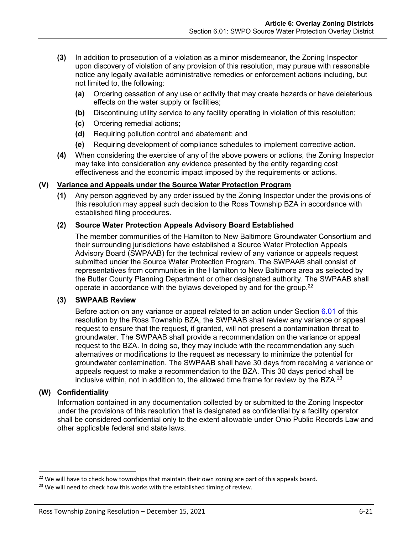- **(3)** In addition to prosecution of a violation as a minor misdemeanor, the Zoning Inspector upon discovery of violation of any provision of this resolution, may pursue with reasonable notice any legally available administrative remedies or enforcement actions including, but not limited to, the following:
	- **(a)** Ordering cessation of any use or activity that may create hazards or have deleterious effects on the water supply or facilities;
	- **(b)** Discontinuing utility service to any facility operating in violation of this resolution;
	- **(c)** Ordering remedial actions;
	- **(d)** Requiring pollution control and abatement; and
	- **(e)** Requiring development of compliance schedules to implement corrective action.
- **(4)** When considering the exercise of any of the above powers or actions, the Zoning Inspector may take into consideration any evidence presented by the entity regarding cost effectiveness and the economic impact imposed by the requirements or actions.

## **(V) Variance and Appeals under the Source Water Protection Program**

**(1)** Any person aggrieved by any order issued by the Zoning Inspector under the provisions of this resolution may appeal such decision to the Ross Township BZA in accordance with established filing procedures.

## **(2) Source Water Protection Appeals Advisory Board Established**

The member communities of the Hamilton to New Baltimore Groundwater Consortium and their surrounding jurisdictions have established a Source Water Protection Appeals Advisory Board (SWPAAB) for the technical review of any variance or appeals request submitted under the Source Water Protection Program. The SWPAAB shall consist of representatives from communities in the Hamilton to New Baltimore area as selected by the Butler County Planning Department or other designated authority. The SWPAAB shall operate in accordance with the bylaws developed by and for the group.<sup>22</sup>

## **(3) SWPAAB Review**

Before action on any variance or appeal related to an action under Section [6.01](#page-0-2) of this resolution by the Ross Township BZA, the SWPAAB shall review any variance or appeal request to ensure that the request, if granted, will not present a contamination threat to groundwater. The SWPAAB shall provide a recommendation on the variance or appeal request to the BZA. In doing so, they may include with the recommendation any such alternatives or modifications to the request as necessary to minimize the potential for groundwater contamination. The SWPAAB shall have 30 days from receiving a variance or appeals request to make a recommendation to the BZA. This 30 days period shall be inclusive within, not in addition to, the allowed time frame for review by the BZA. $^{23}$ 

## **(W) Confidentiality**

Information contained in any documentation collected by or submitted to the Zoning Inspector under the provisions of this resolution that is designated as confidential by a facility operator shall be considered confidential only to the extent allowable under Ohio Public Records Law and other applicable federal and state laws.

<sup>&</sup>lt;sup>22</sup> We will have to check how townships that maintain their own zoning are part of this appeals board.

 $23$  We will need to check how this works with the established timing of review.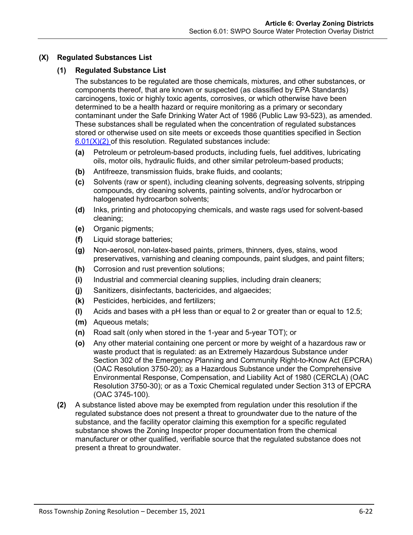# <span id="page-21-0"></span>**(X) Regulated Substances List**

## **(1) Regulated Substance List**

The substances to be regulated are those chemicals, mixtures, and other substances, or components thereof, that are known or suspected (as classified by EPA Standards) carcinogens, toxic or highly toxic agents, corrosives, or which otherwise have been determined to be a health hazard or require monitoring as a primary or secondary contaminant under the Safe Drinking Water Act of 1986 (Public Law 93-523), as amended. These substances shall be regulated when the concentration of regulated substances stored or otherwise used on site meets or exceeds those quantities specified in Section  $6.01(X)(2)$  of this resolution. Regulated substances include:

- **(a)** Petroleum or petroleum-based products, including fuels, fuel additives, lubricating oils, motor oils, hydraulic fluids, and other similar petroleum-based products;
- **(b)** Antifreeze, transmission fluids, brake fluids, and coolants;
- **(c)** Solvents (raw or spent), including cleaning solvents, degreasing solvents, stripping compounds, dry cleaning solvents, painting solvents, and/or hydrocarbon or halogenated hydrocarbon solvents;
- **(d)** Inks, printing and photocopying chemicals, and waste rags used for solvent-based cleaning;
- **(e)** Organic pigments;
- **(f)** Liquid storage batteries;
- **(g)** Non-aerosol, non-latex-based paints, primers, thinners, dyes, stains, wood preservatives, varnishing and cleaning compounds, paint sludges, and paint filters;
- **(h)** Corrosion and rust prevention solutions;
- **(i)** Industrial and commercial cleaning supplies, including drain cleaners;
- **(j)** Sanitizers, disinfectants, bactericides, and algaecides;
- **(k)** Pesticides, herbicides, and fertilizers;
- **(l)** Acids and bases with a pH less than or equal to 2 or greater than or equal to 12.5;
- **(m)** Aqueous metals;
- **(n)** Road salt (only when stored in the 1-year and 5-year TOT); or
- **(o)** Any other material containing one percent or more by weight of a hazardous raw or waste product that is regulated: as an Extremely Hazardous Substance under Section 302 of the Emergency Planning and Community Right-to-Know Act (EPCRA) (OAC Resolution 3750-20); as a Hazardous Substance under the Comprehensive Environmental Response, Compensation, and Liability Act of 1980 (CERCLA) (OAC Resolution 3750-30); or as a Toxic Chemical regulated under Section 313 of EPCRA (OAC 3745-100).
- <span id="page-21-1"></span>**(2)** A substance listed above may be exempted from regulation under this resolution if the regulated substance does not present a threat to groundwater due to the nature of the substance, and the facility operator claiming this exemption for a specific regulated substance shows the Zoning Inspector proper documentation from the chemical manufacturer or other qualified, verifiable source that the regulated substance does not present a threat to groundwater.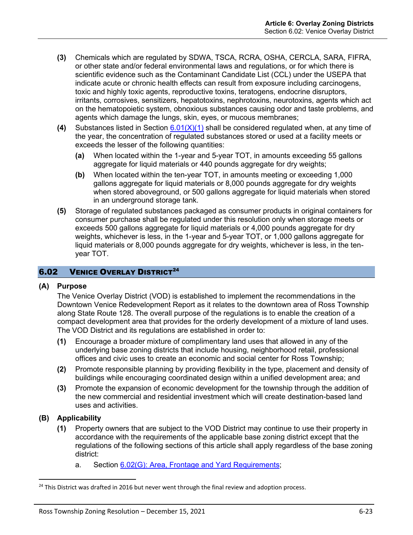- **(3)** Chemicals which are regulated by SDWA, TSCA, RCRA, OSHA, CERCLA, SARA, FIFRA, or other state and/or federal environmental laws and regulations, or for which there is scientific evidence such as the Contaminant Candidate List (CCL) under the USEPA that indicate acute or chronic health effects can result from exposure including carcinogens, toxic and highly toxic agents, reproductive toxins, teratogens, endocrine disruptors, irritants, corrosives, sensitizers, hepatotoxins, nephrotoxins, neurotoxins, agents which act on the hematopoietic system, obnoxious substances causing odor and taste problems, and agents which damage the lungs, skin, eyes, or mucous membranes;
- <span id="page-22-1"></span>**(4)** Substances listed in Section [6.01\(X\)\(1\)](#page-21-0) shall be considered regulated when, at any time of the year, the concentration of regulated substances stored or used at a facility meets or exceeds the lesser of the following quantities:
	- **(a)** When located within the 1-year and 5-year TOT, in amounts exceeding 55 gallons aggregate for liquid materials or 440 pounds aggregate for dry weights;
	- **(b)** When located within the ten-year TOT, in amounts meeting or exceeding 1,000 gallons aggregate for liquid materials or 8,000 pounds aggregate for dry weights when stored aboveground, or 500 gallons aggregate for liquid materials when stored in an underground storage tank.
- <span id="page-22-0"></span>**(5)** Storage of regulated substances packaged as consumer products in original containers for consumer purchase shall be regulated under this resolution only when storage meets or exceeds 500 gallons aggregate for liquid materials or 4,000 pounds aggregate for dry weights, whichever is less, in the 1-year and 5-year TOT, or 1,000 gallons aggregate for liquid materials or 8,000 pounds aggregate for dry weights, whichever is less, in the tenyear TOT.

# **6.02 VENICE OVERLAY DISTRICT<sup>24</sup>**

## **(A) Purpose**

The Venice Overlay District (VOD) is established to implement the recommendations in the Downtown Venice Redevelopment Report as it relates to the downtown area of Ross Township along State Route 128. The overall purpose of the regulations is to enable the creation of a compact development area that provides for the orderly development of a mixture of land uses. The VOD District and its regulations are established in order to:

- **(1)** Encourage a broader mixture of complimentary land uses that allowed in any of the underlying base zoning districts that include housing, neighborhood retail, professional offices and civic uses to create an economic and social center for Ross Township;
- **(2)** Promote responsible planning by providing flexibility in the type, placement and density of buildings while encouraging coordinated design within a unified development area; and
- **(3)** Promote the expansion of economic development for the township through the addition of the new commercial and residential investment which will create destination-based land uses and activities.

# **(B) Applicability**

- **(1)** Property owners that are subject to the VOD District may continue to use their property in accordance with the requirements of the applicable base zoning district except that the regulations of the following sections of this article shall apply regardless of the base zoning district:
	- a. Section [6.02\(G\): Area, Frontage and Yard Requirements;](#page-23-0)

 $24$  This District was drafted in 2016 but never went through the final review and adoption process.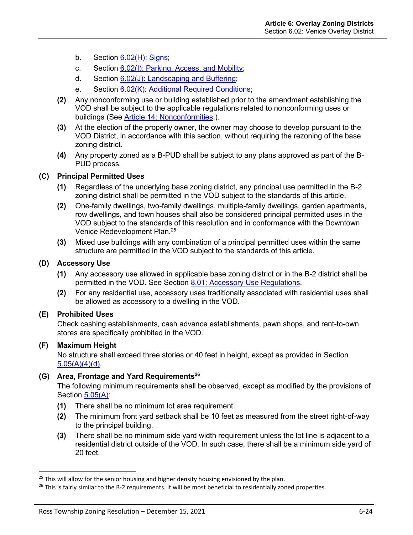- b. Section [6.02\(H\): Signs;](#page-24-0)
- c. Section [6.02\(I\): Parking, Access, and Mobility;](#page-24-1)
- d. Section [6.02\(J\): Landscaping and Buffering;](#page-24-2)
- e. Section [6.02\(K\): Additional Required Conditions;](#page-25-0)
- **(2)** Any nonconforming use or building established prior to the amendment establishing the VOD shall be subject to the applicable regulations related to nonconforming uses or buildings (See Article 14: Nonconformities.).
- **(3)** At the election of the property owner, the owner may choose to develop pursuant to the VOD District, in accordance with this section, without requiring the rezoning of the base zoning district.
- **(4)** Any property zoned as a B-PUD shall be subject to any plans approved as part of the B-PUD process.

## **(C) Principal Permitted Uses**

- **(1)** Regardless of the underlying base zoning district, any principal use permitted in the B-2 zoning district shall be permitted in the VOD subject to the standards of this article.
- **(2)** One-family dwellings, two-family dwellings, multiple-family dwellings, garden apartments, row dwellings, and town houses shall also be considered principal permitted uses in the VOD subject to the standards of this resolution and in conformance with the Downtown Venice Redevelopment Plan.<sup>25</sup>
- **(3)** Mixed use buildings with any combination of a principal permitted uses within the same structure are permitted in the VOD subject to the standards of this article.

## **(D) Accessory Use**

- **(1)** Any accessory use allowed in applicable base zoning district or in the B-2 district shall be permitted in the VOD. See Section 8.01: Accessory Use Regulations.
- **(2)** For any residential use, accessory uses traditionally associated with residential uses shall be allowed as accessory to a dwelling in the VOD.

# **(E) Prohibited Uses**

Check cashing establishments, cash advance establishments, pawn shops, and rent-to-own stores are specifically prohibited in the VOD.

# **(F) Maximum Height**

No structure shall exceed three stories or 40 feet in height, except as provided in Section  $5.05(A)(4)(d)$ .

# <span id="page-23-0"></span>**(G) Area, Frontage and Yard Requirements<sup>26</sup>**

The following minimum requirements shall be observed, except as modified by the provisions of Section 5.05(A):

- **(1)** There shall be no minimum lot area requirement.
- **(2)** The minimum front yard setback shall be 10 feet as measured from the street right-of-way to the principal building.
- **(3)** There shall be no minimum side yard width requirement unless the lot line is adjacent to a residential district outside of the VOD. In such case, there shall be a minimum side yard of 20 feet.

 $25$  This will allow for the senior housing and higher density housing envisioned by the plan.

 $26$  This is fairly similar to the B-2 requirements. It will be most beneficial to residentially zoned properties.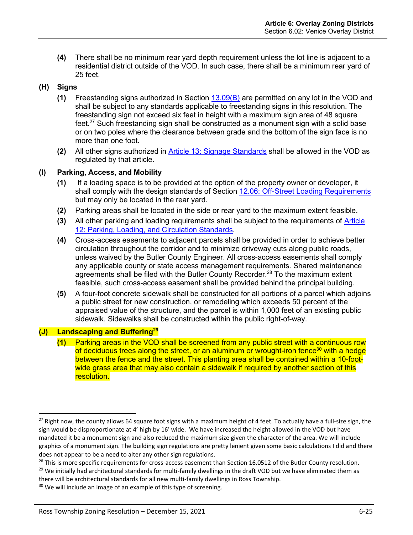**(4)** There shall be no minimum rear yard depth requirement unless the lot line is adjacent to a residential district outside of the VOD. In such case, there shall be a minimum rear yard of 25 feet.

# <span id="page-24-0"></span>**(H) Signs**

- **(1)** Freestanding signs authorized in Section 13.09(B) are permitted on any lot in the VOD and shall be subject to any standards applicable to freestanding signs in this resolution. The freestanding sign not exceed six feet in height with a maximum sign area of 48 square feet.<sup>27</sup> Such freestanding sign shall be constructed as a monument sign with a solid base or on two poles where the clearance between grade and the bottom of the sign face is no more than one foot.
- **(2)** All other signs authorized in Article 13: Signage Standards shall be allowed in the VOD as regulated by that article.

# <span id="page-24-1"></span>**(I) Parking, Access, and Mobility**

- **(1)** If a loading space is to be provided at the option of the property owner or developer, it shall comply with the design standards of Section 12.06: Off-Street Loading Requirements but may only be located in the rear yard.
- **(2)** Parking areas shall be located in the side or rear yard to the maximum extent feasible.
- **(3)** All other parking and loading requirements shall be subject to the requirements of Article 12: Parking, Loading, and Circulation Standards.
- **(4)** Cross-access easements to adjacent parcels shall be provided in order to achieve better circulation throughout the corridor and to minimize driveway cuts along public roads, unless waived by the Butler County Engineer. All cross-access easements shall comply any applicable county or state access management requirements. Shared maintenance agreements shall be filed with the Butler County Recorder.<sup>28</sup> To the maximum extent feasible, such cross-access easement shall be provided behind the principal building.
- **(5)** A four-foot concrete sidewalk shall be constructed for all portions of a parcel which adjoins a public street for new construction, or remodeling which exceeds 50 percent of the appraised value of the structure, and the parcel is within 1,000 feet of an existing public sidewalk. Sidewalks shall be constructed within the public right-of-way.

# <span id="page-24-2"></span>**(J) Landscaping and Buffering<sup>29</sup>**

**(1)** Parking areas in the VOD shall be screened from any public street with a continuous row of deciduous trees along the street, or an aluminum or wrought-iron fence<sup>30</sup> with a hedge between the fence and the street. This planting area shall be contained within a 10-footwide grass area that may also contain a sidewalk if required by another section of this resolution.

<sup>&</sup>lt;sup>27</sup> Right now, the county allows 64 square foot signs with a maximum height of 4 feet. To actually have a full-size sign, the sign would be disproportionate at 4' high by 16' wide. We have increased the height allowed in the VOD but have mandated it be a monument sign and also reduced the maximum size given the character of the area. We will include graphics of a monument sign. The building sign regulations are pretty lenient given some basic calculations I did and there does not appear to be a need to alter any other sign regulations.

<sup>&</sup>lt;sup>28</sup> This is more specific requirements for cross-access easement than Section 16.0512 of the Butler County resolution.

 $29$  We initially had architectural standards for multi-family dwellings in the draft VOD but we have eliminated them as there will be architectural standards for all new multi-family dwellings in Ross Township.

<sup>&</sup>lt;sup>30</sup> We will include an image of an example of this type of screening.